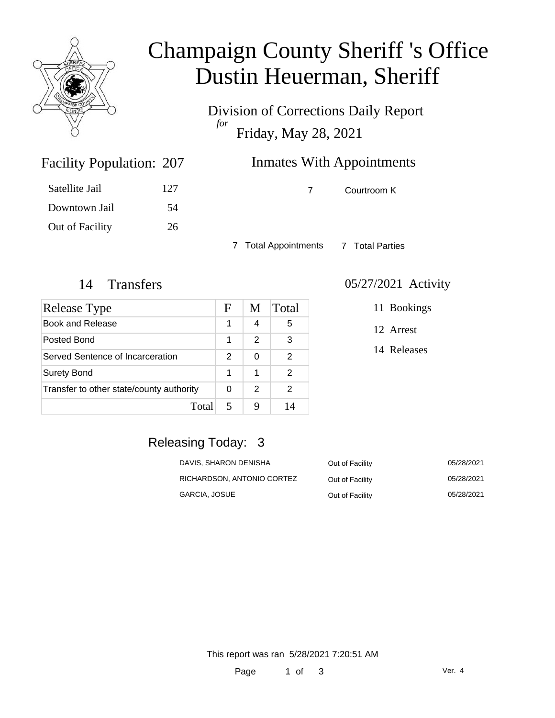

# Champaign County Sheriff 's Office Dustin Heuerman, Sheriff

Division of Corrections Daily Report *for* Friday, May 28, 2021

### Inmates With Appointments

Satellite Jail 127 Downtown Jail 54 Out of Facility 26

Facility Population: 207

7 Courtroom K

7 Total Appointments 7 Total Parties

| Release Type                             | F             | M             | Total |
|------------------------------------------|---------------|---------------|-------|
| <b>Book and Release</b>                  | 1             | 4             | 5     |
| Posted Bond                              | 1             | 2             | 3     |
| Served Sentence of Incarceration         | $\mathcal{P}$ | 0             | 2     |
| <b>Surety Bond</b>                       | 1             | 1             | 2     |
| Transfer to other state/county authority |               | $\mathcal{P}$ | 2     |
| Total                                    |               |               | 14    |

#### 14 Transfers 05/27/2021 Activity

11 Bookings

12 Arrest

14 Releases

### Releasing Today: 3

| DAVIS, SHARON DENISHA      | Out of Facility | 05/28/2021 |
|----------------------------|-----------------|------------|
| RICHARDSON, ANTONIO CORTEZ | Out of Facility | 05/28/2021 |
| GARCIA, JOSUE              | Out of Facility | 05/28/2021 |

This report was ran 5/28/2021 7:20:51 AM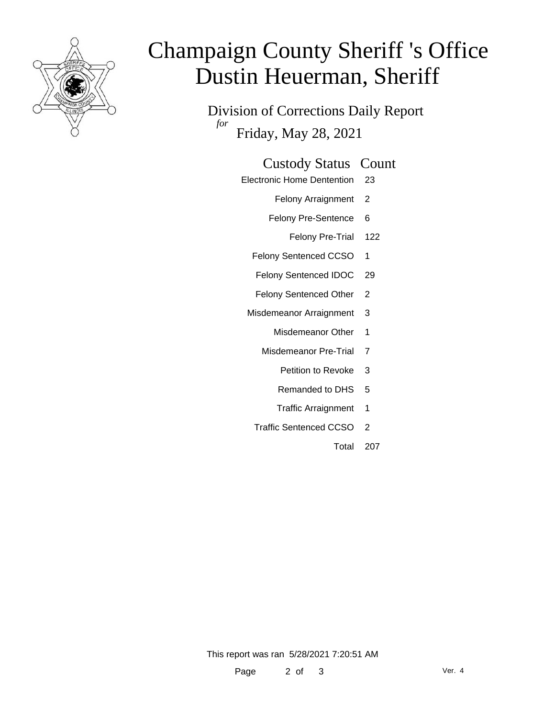

# Champaign County Sheriff 's Office Dustin Heuerman, Sheriff

Division of Corrections Daily Report *for* Friday, May 28, 2021

| <b>Custody Status Count</b> |  |
|-----------------------------|--|
|-----------------------------|--|

- Electronic Home Dentention 23
	- Felony Arraignment 2
	- Felony Pre-Sentence 6
		- Felony Pre-Trial 122
	- Felony Sentenced CCSO 1
	- Felony Sentenced IDOC 29
	- Felony Sentenced Other 2
- Misdemeanor Arraignment 3
	- Misdemeanor Other 1
	- Misdemeanor Pre-Trial 7
		- Petition to Revoke 3
		- Remanded to DHS 5
		- Traffic Arraignment 1
	- Traffic Sentenced CCSO 2
		- Total 207

This report was ran 5/28/2021 7:20:51 AM